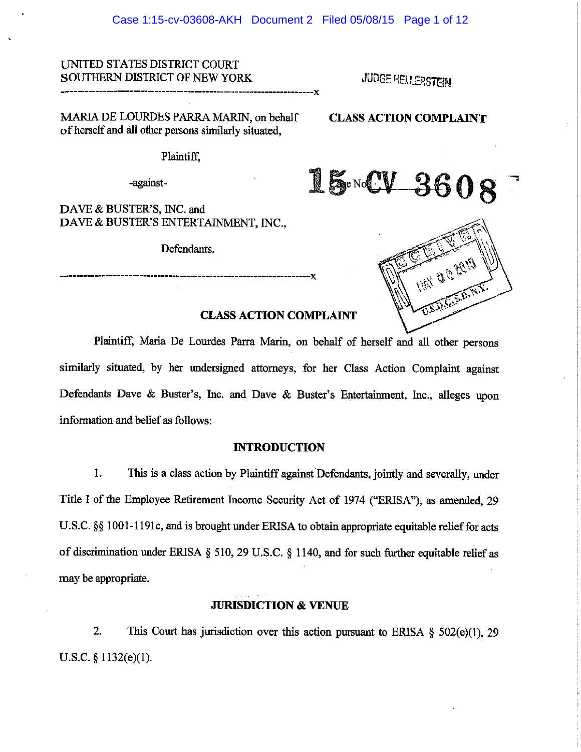#### Case 1:15-cv-03608-AKH Document 2 Filed 05/08/15 Page 1 of 12

# UNITED STATES DISTRICT COURT SOUTHERN DISTRICT OF NEW YORK JUDGE HELLERSTEIN

--------------------------------x

MARIA DE LOURDES PARRA MARIN, on behalf CLASS ACTION COMPLAINT

of herself and all other persons similarly situated,

Plaintiff,

-against-

DAVE & BUSTER'S, INC. and DAVE & BUSTER'S ENTERTAINMENT, INC.,

Defendants.



# CLASS ACTION COMPLAINT '

Plaintiff, Maria De Lourdes Parra Marin, on behalf of herself and all other persons similarly situated, by her undersigned attorneys, for her Class Action Complaint against Defendants Dave & Buster's, Inc. and Dave & Buster's Entertainment, Inc., alleges upon information and belief as follows:

### INTRODUCTION

1. This is a class action by Plaintiff against Defendants, jointly and severally, under Title I of the Employee Retirement Income Security Act of 1974 ("ERISA"), as amended, 29 U.S.C. §§ 1001-1191c, and is brought under ERISA to obtain appropriate equitable relief for acts of discrimination under ERISA §510, 29 U.S.C. § 1140, and for such further equitable relief as may be appropriate.

# JURISDICTION & VENUE

2. This Court has jurisdiction over this action pursuant to ERISA  $\S$  502(e)(1), 29 U.S.C. § 1132(e)(1).

 $15 - CV - 3608$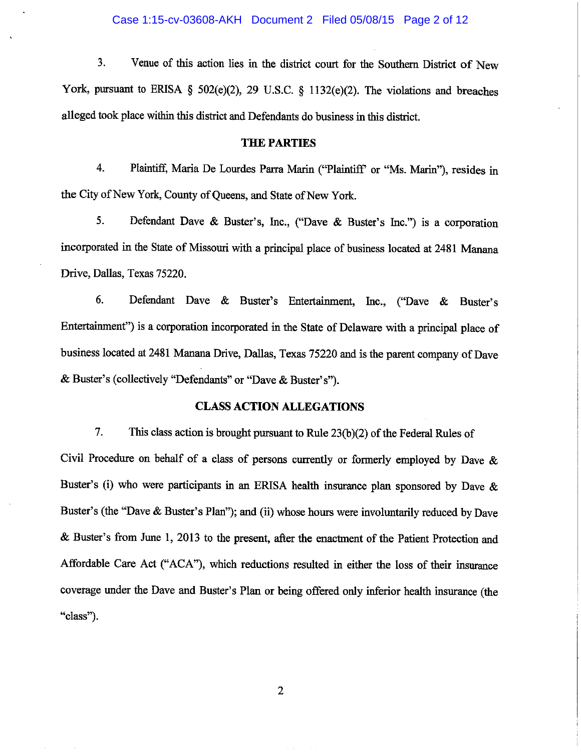#### Case 1:15-cv-03608-AKH Document 2 Filed 05/08/15 Page 2 of 12

3. Venue of this action lies in the district court for the Southern District of New York, pursuant to ERISA  $\S$  502(e)(2), 29 U.S.C.  $\S$  1132(e)(2). The violations and breaches alleged took place within this district and Defendants do business in this district.

# THE PARTIES

4. Plaintiff, Maria De Lourdes Parra Marin ("Plaintiff' or "Ms. Marin"), resides in the City of New York, County of Queens, and State of New York.

5. Defendant Dave & Buster's, Inc., ("Dave & Buster's Inc.") is a corporation incorporated in the State of Missouri with a principal place of business located at 2481 Manana Drive, Dallas, Texas 75220.

6. Defendant Dave & Buster's Entertainment, Inc., ("Dave & Buster's Entertainment") is a corporation incorporated in the State of Delaware with a principal place of business located at 2481 Manana Drive, Dallas, Texas 75220 and is the parent company of Dave & Buster's (collectively "Defendants" or "Dave & Buster's").

# CLASS ACTION ALLEGATIONS

7. This class action is brought pursuant to Rule  $23(b)(2)$  of the Federal Rules of Civil Procedure on behalf of a class of persons currently or formerly employed by Dave & Buster's (i) who were participants in an ERISA health insurance plan sponsored by Dave & Buster's (the "Dave & Buster's Plan"); and (ii) whose hours were involuntarily reduced by Dave & Buster's from June 1, 2013 to the present, after the enactment of the Patient Protection and Affordable Care Act ("ACA"), which reductions resulted in either the loss of their insurance coverage under the Dave and Buster's Plan or being offered only inferior health insurance (the "class").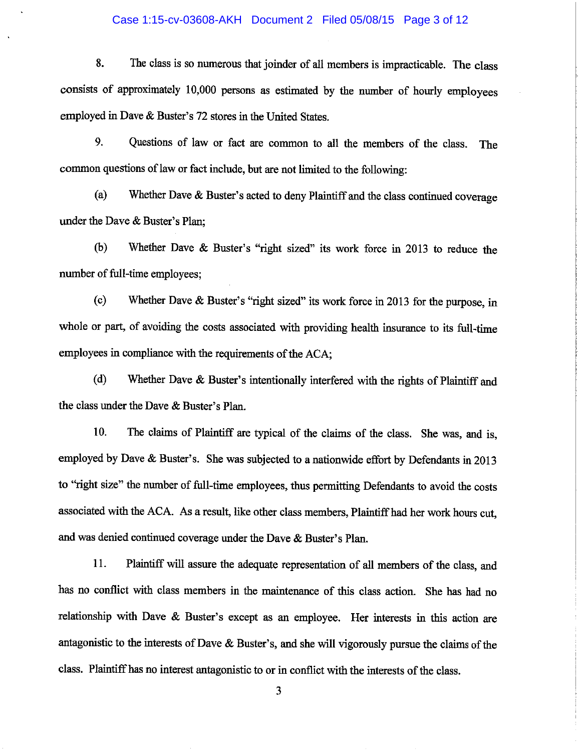#### Case 1:15-cv-03608-AKH Document 2 Filed 05/08/15 Page 3 of 12

8. The class is so numerous that joinder of all members is impracticable. The class consists of approximately 10,000 persons as estimated by the number of hourly employees employed in Dave & Buster's 72 stores in the United States.

9. Questions of law or fact are common to all the members of the class. The common questions of law or fact include, but are not limited to the following:

(a) Whether Dave  $&$  Buster's acted to deny Plaintiff and the class continued coverage under the Dave & Buster's Plan;

(b) Whether Dave & Buster's "right sized" its work force in 2013 to reduce the number of full-time employees;

(c) Whether Dave  $\&$  Buster's "right sized" its work force in 2013 for the purpose, in whole or part, of avoiding the costs associated with providing health insurance to its full-time employees in compliance with the requirements of the ACA;

(d) Whether Dave & Buster's intentionally interfered with the rights of Plaintiff and the class under the Dave & Buster's Plan.

10. The claims of Plaintiff are typical of the claims of the class. She was, and is, employed by Dave & Buster's. She was subjected to a nationwide effort by Defendants in 2013 to "right size" the number of full-time employees, thus permitting Defendants to avoid the costs associated with the ACA. As a result, like other class members, Plaintiff had her work hours cut, and was denied continued coverage under the Dave & Buster's Plan.

11. Plaintiff will assure the adequate representation of all members of the class, and has no conflict with class members in the maintenance of this class action. She has had no relationship with Dave & Buster's except as an employee. Her interests in this action are antagonistic to the interests of Dave & Buster's, and she will vigorously pursue the claims of the class. Plaintiff has no interest antagonistic to or in conflict with the interests of the class.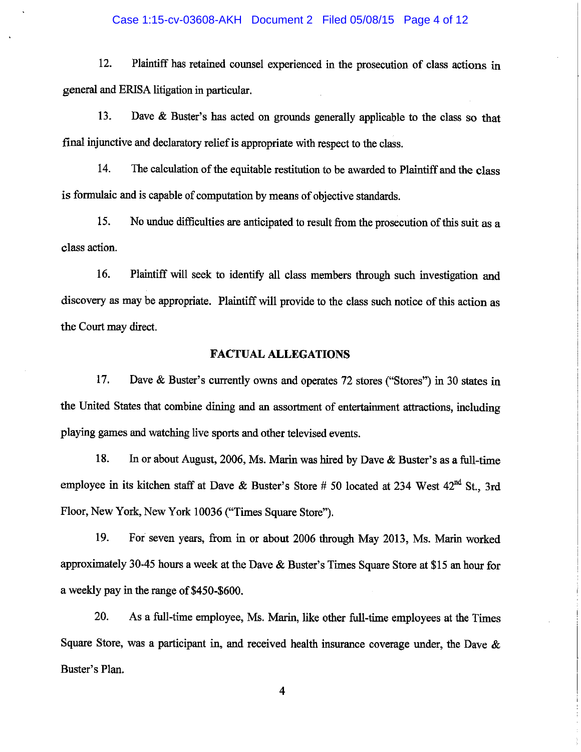#### Case 1:15-cv-03608-AKH Document 2 Filed 05/08/15 Page 4 of 12

12. Plaintiff has retained counsel experienced in the prosecution of class actions in general and ERISA litigation in particular.

13. Dave & Buster's has acted on grounds generally applicable to the class so that final injunctive and declaratory relief is appropriate with respect to the class.

14. The calculation of the equitable restitution to be awarded to Plaintiff and the class is formulaic and is capable of computation by means of objective standards.

15. No undue difficulties are anticipated to result from the prosecution of this suit as a class action.

16. Plaintiff will seek to identify all class members through such investigation and discovery as may be appropriate. Plaintiff will provide to the class such notice of this action as the Court may direct.

# FACTUAL ALLEGATIONS

17. Dave & Buster's currently owns and operates 72 stores ("Stores") in 30 states in the United States that combine dining and an assortment of entertainment attractions, including playing games and watching live sports and other televised events.

18. In or about August, 2006, Ms. Marin was hired by Dave & Buster's as a full-time employee in its kitchen staff at Dave & Buster's Store # 50 located at 234 West  $42<sup>nd</sup>$  St., 3rd Floor, New York, New York 10036 ("Times Square Store").

19. For seven years, from in or about 2006 through May 2013, Ms. Marin worked approximately 30-45 hours a week at the Dave & Buster's Times Square Store at \$15an hour for a weekly pay in the range of \$450-\$600.

20. As a full-time employee, Ms. Marin, like other full-time employees at the Times Square Store, was a participant in, and received health insurance coverage under, the Dave & Buster's Plan.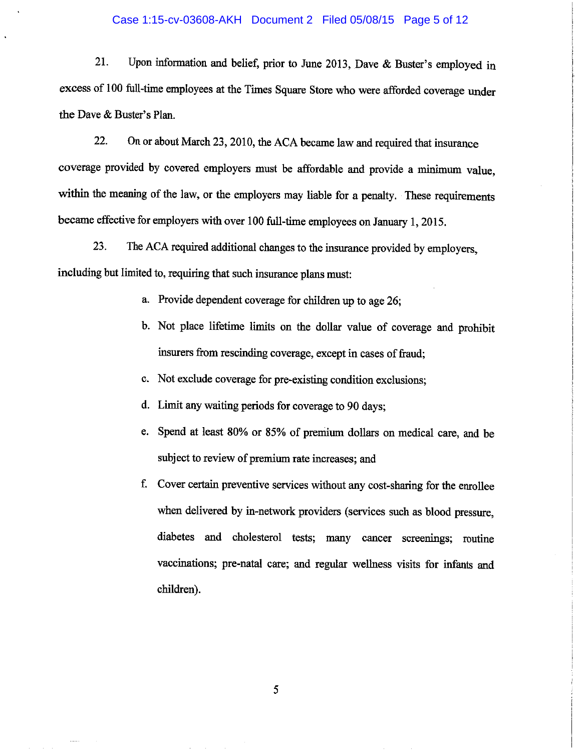#### Case 1:15-cv-03608-AKH Document 2 Filed 05/08/15 Page 5 of 12

21. Upon information and belief, prior to June 2013, Dave & Buster's employed in excess of 100 full-time employees at the Times Square Store who were afforded coverage under the Dave & Buster's Plan.

22. On or about March 23, 2010, the ACA became law and required that insurance coverage provided by covered employers must be affordable and provide a minimum value, within the meaning of the law, or the employers may liable for a penalty. These requirements became effective for employers with over 100 full-time employees on January 1, 2015.

23. The ACA required additional changes to the insurance provided by employers, including but limited to, requiring that such insurance plans must:

- a. Provide dependent coverage for children up to age 26;
- b. Not place lifetime limits on the dollar value of coverage and prohibit insurers from rescinding coverage, except in cases of fraud;
- c. Not exclude coverage for pre-existing condition exclusions;
- d. Limit any waiting periods for coverage to 90 days;
- e. Spend at least 80% or 85% of premium dollars on medical care, and be subject to review of premium rate increases; and
- f. Cover certain preventive services without any cost-sharing for the enrollee when delivered by in-network providers (services such as blood pressure, diabetes and cholesterol tests; many cancer screenings; routine vaccinations; pre-natal care; and regular wellness visits for infants and children). children).

I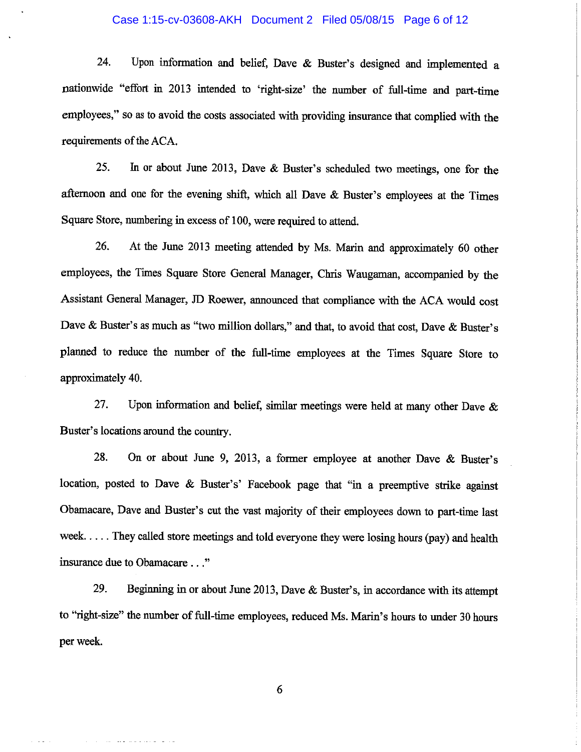### Case 1:15-cv-03608-AKH Document 2 Filed 05/08/15 Page 6 of 12

24. Upon information and belief, Dave & Buster's designed and implemented a nationwide "effort in 2013 intended to 'right-size' the number of full-time and part-time employees," so as to avoid the costs associated with providing insurance that complied with the requirements of the ACA.

25. In or about June 2013, Dave & Buster's scheduled two meetings, one for the afternoon and one for the evening shift, which all Dave & Buster's employees at the Times Square Store, numbering in excess of 100, were required to attend.

26. At the June 2013 meeting attended by Ms. Marin and approximately 60 other employees, the Times Square Store General Manager, Chris Waugaman, accompanied by the Assistant General Manager, JD Roewer, announced that compliance with the ACA would cost Dave & Buster's as much as "two million dollars," and that, to avoid that cost, Dave & Buster's planned to reduce the number of the full-time employees at the Times Square Store to approximately 40.

27. Upon information and belief, similar meetings were held at many other Dave  $\&$ Buster's locations around the country.

28. On or about June 9, 2013, a former employee at another Dave & Buster's location, posted to Dave & Buster's' Facebook page that "in a preemptive strike against Obamacare, Dave and Buster's cut the vast majority of their employees down to part-time last week. . . . . They called store meetings and told everyone they were losing hours (pay) and health insurance due to Obamacare . . ."

29. Beginning in or about June 2013, Dave & Buster's, in accordance with its attempt to "right-size" the number of full-time employees, reduced Ms. Marin's hours to under 30 hours per week.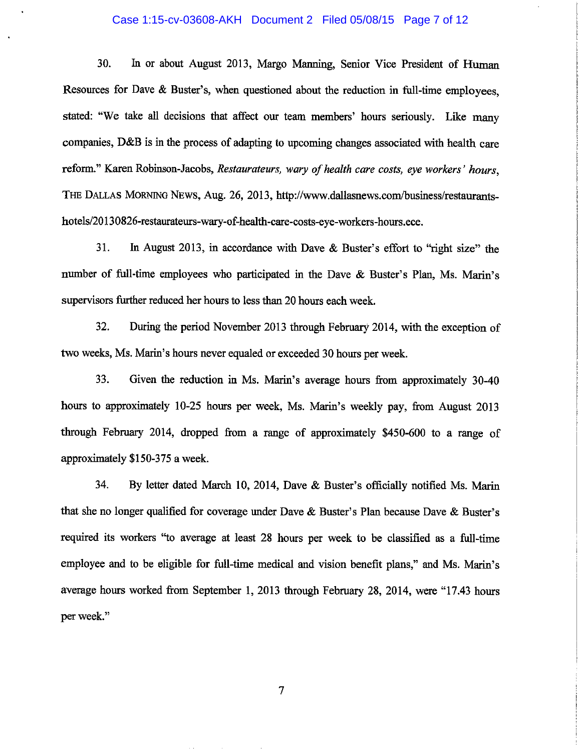#### Case 1:15-cv-03608-AKH Document 2 Filed 05/08/15 Page 7 of 12

30. In or about August 2013, Margo Manning, Senior Vice President of Human Resources for Dave & Buster's, when questioned about the reduction in full-time employees. stated: "We take all decisions that affect our team members' hours seriously. Like many companies, D&B is in the process of adapting to upcoming changes associated with health care reform." Karen Robinson-Jacobs, Restaurateurs, wary of health care costs, eye workers' hours, THE DALLAs MORNING NEWS, Aug. 26, 2013, http://www.dallasnews.com/business/restaurantshotels/20130826-restaurateurs-wary-of-health-care-costs-eye-workers-hours.ece.

31. In August 2013, in accordance with Dave & Buster's effort to "right size" the number of full-time employees who participated in the Dave & Buster's Plan, Ms. Marin's supervisors further reduced her hours to less than 20 hours each week.

32. During the period November 2013 through February 2014, with the exception of two weeks, Ms. Marin's hours never equaled or exceeded 30 hours per week.

33. Given the reduction in Ms. Marin's average hours from approximately 30-40 hours to approximately 10-25 hours per week, Ms. Marin's weekly pay, from August 2013 through February 2014, dropped from a range of approximately  $$450-600$  to a range of approximately \$150-375a week.

34. By letter dated March 10, 2014, Dave & Buster's officially notified Ms. Marin that she no longer qualified for coverage under Dave & Buster's Plan because Dave & Buster's required its workers "to average at least 28 hours per week to be classified as a full-time employee and to be eligible for full-time medical and vision benefit plans," and Ms. Marin's average hours worked from September 1, 2013 through February 28, 2014, were "17.43 hours per week."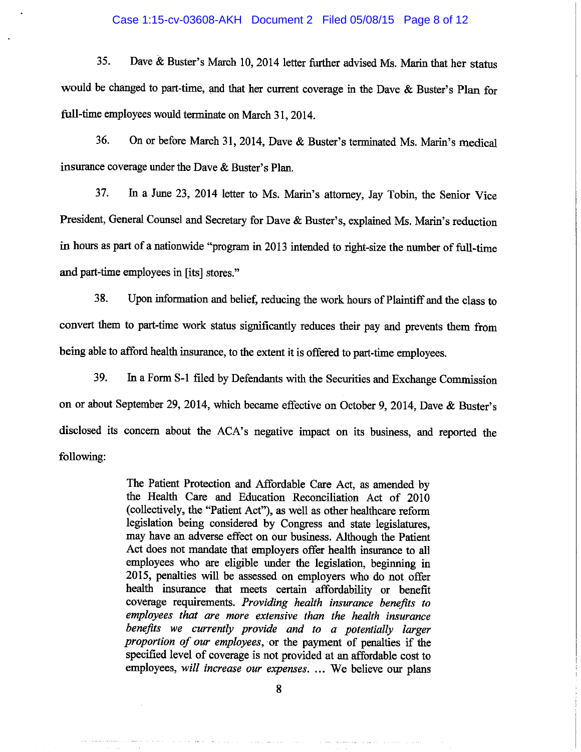#### Case 1:15-cv-03608-AKH Document 2 Filed 05/08/15 Page 8 of 12

35. Dave & Buster's March 10, 2014 letter further advised Ms. Marin that her status would be changed to part-time, and that her current coverage in the Dave & Buster's Plan for full-time employees would terminate on March 31, 2014.

36. On or before March 31, 2014, Dave & Buster's terminated Ms. Marin's medical insurance coverage under the Dave  $\&$  Buster's Plan.

37. In a June 23, 2014 letter to Ms. Marin's attorney, Jay Tobin, the Senior Vice President, General Counsel and Secretary for Dave & Buster's, explained Ms. Marin's reduction in hours as part of a nationwide "program in 2013 intended to right-size the number of full-time and part-time employees in [its] stores."

38. Upon information and belief, reducing the work hours of Plaintiff and the class to convert them to part-time work status significantly reduces their pay and prevents them from being able to afford health insurance, to the extent it is offered to part-time employees.

39. In a Form S-1 filed by Defendants with the Securities and Exchange Commission on or about September 29, 2014, which became effective on October 9, 2014, Dave & Buster's disclosed its concern about the ACA's negative impact on its business, and reported the following:

> The Patient Protection and Affordable Care Act, as amended by the Health Care and Education Reconciliation Act of 2010 (collectively, the "Patient Act"), as well as other healthcare reform legislation being considered by Congress and state legislatures, may have an adverse effect on our business. Although the Patient Act does not mandate that employers offer health insurance to all employees who are eligible under the legislation, beginning in 2015, penalties will be assessed on employers who do not offer health insurance that meets certain affordability or benefit coverage requirements. Providing health insurance benefits to employees that are more extensive than the health insurance benefits we currently provide and to a potentially larger proportion of our employees, or the payment of penalties if the specified level of coverage is not provided at an affordable cost to employees, will increase our expenses. ... We believe our plans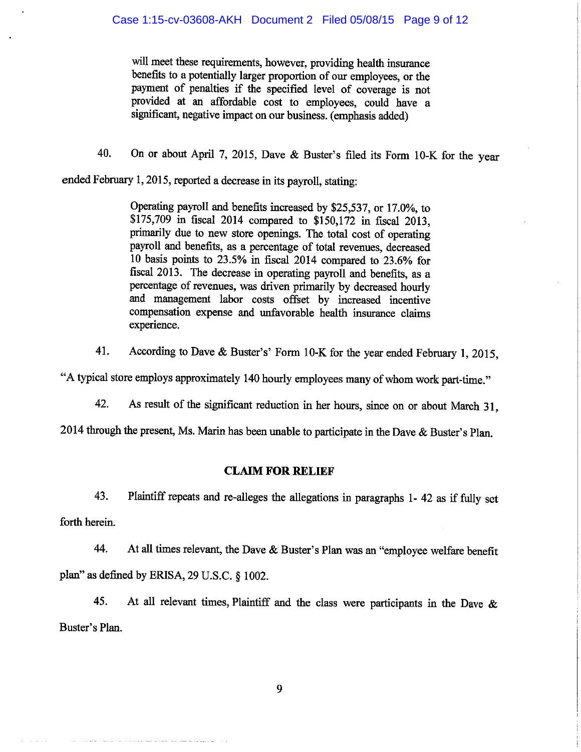will meet these requirements, however, providing health insurance benefits to a potentially larger proportion of our employees, or the payment of penalties if the specified level of coverage is not provided at an affordable cost to employees, could have a significant, negative impact on our business. (emphasis added)

40. On or about April 7, 2015, Dave & Buster's filed its Form 10-K for the year

ended February 1, 2015, reported a decrease in its payroll, stating:

Operating payroll and benefits increased by \$25,537, or 17.0%, to \$175,709 in fiscal 2014 compared to \$150,172 in fiscal 2013, primarily due to new store openings. The total cost of operating payroll and benefits, as a percentage of total revenues, decreased 10 basis points to 23.5% in fiscal 2014 compared to 23.6% for fiscal 2013. The decrease in operating payroll and benefits, as a percentage of revenues, was driven primarily by decreased hourly and management labor costs offset by increased incentive compensation expense and unfavorable health insurance claims experience.

41. According to Dave & Buster's' Form 10-K for the year ended February 1, 2015,

"A typical store employs approximately 140 hourly employees many of whom work part-time."

42. As result of the significant reduction in her hours, since on or about March 31,

2014 through the present, Ms. Marin has been unable to participate in the Dave & Buster's Plan.

# CLAIM FOR RELIEF

43. Plaintiff repeats and re-alleges the allegations in paragraphs 1- 42 as if fully set forth herein.

44. At all times relevant, the Dave & Buster's Plan was an "employee welfare benefit plan" as defined by ERISA, 29 U.S.C. §1002.

45. At all relevant times, Plaintiff and the class were participants in the Dave & Buster's Plan.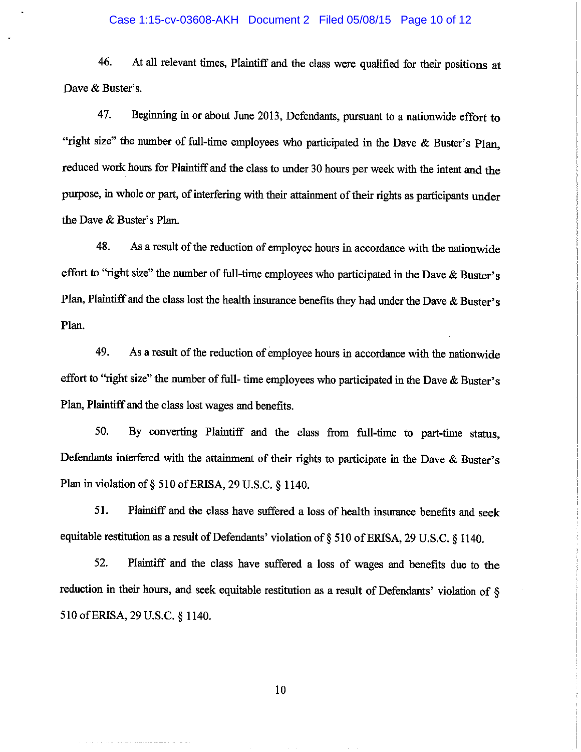### Case 1:15-cv-03608-AKH Document 2 Filed 05/08/15 Page 10 of 12

46. At all relevant times, Plaintiff and the class were qualified for their positions at Dave & Buster's.

47. Beginning in or about June 2013, Defendants, pursuant to a nationwide effort to "right size" the number of full-time employees who participated in the Dave & Buster's Plan, reduced work hours for Plaintiff and the class to under 30 hours per week with the intent and the purpose, in whole or part, of interfering with their attainment of their rights as participants under the Dave & Buster's Plan.

48. As a result of the reduction of employee hours in accordance with the nationwide effort to "right size" the number of full-time employees who participated in the Dave & Buster's Plan, Plaintiff and the class lost the health insurance benefits they had under the Dave  $\&$  Buster's Plan.

49. As a result of the reduction of employee hours in accordance with the nationwide effort to "right size" the number of full- time employees who participated in the Dave & Buster's Plan, Plaintiff and the class lost wages and benefits.

50. By converting Plaintiff and the class from full-time to part-time status, Defendants interfered with the attainment of their rights to participate in the Dave & Buster's Plan in violation of § 510 of ERISA, 29 U.S.C. § 1140.

|

I i

51. Plaintiff and the class have suffered a loss of health insurance benefits and seek equitable restitution as a result of Defendants' violation of §510 of ERISA, 29 U.S.C. §1140.

52. Plaintiff and the class have suffered a loss of wages and benefits due to the reduction in their hours, and seek equitable restitution as <sup>a</sup> result of Defendants' violation of §  $\frac{1}{2}$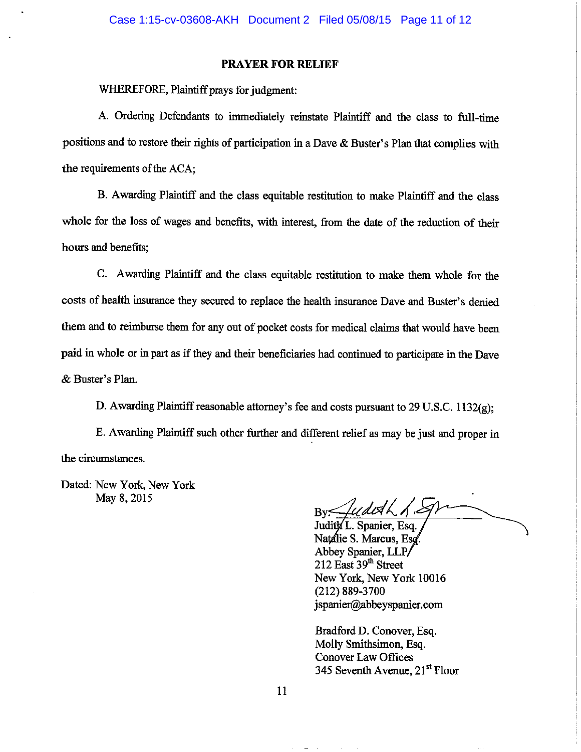# PRAYER FOR RELIEF

WHEREFORE, Plaintiff prays for judgment:

A. Ordering Defendants to immediately reinstate Plaintiff and the class to full-time positions and to restore their rights of participation in a Dave  $\&$  Buster's Plan that complies with the requirements of the ACA:

B. Awarding Plaintiff and the class equitable restitution to make Plaintiff and the class whole for the loss of wages and benefits, with interest, from the date of the reduction of their hours and benefits;

C. Awarding Plaintiff and the class equitable restitution to make them whole for the costs of health insurance they secured to replace the health insurance Dave and Buster's denied them and to reimburse them for any out of pocket costs for medical claims that would have been paid in whole or in part as if they and their beneficiaries had continued to participate in the Dave & Buster's Plan.

D. Awarding Plaintiff reasonable attorney's fee and costs pursuant to 29 U.S.C.  $1132(g)$ ;

E. Awarding Plaintiff such other further and different relief as may be just and proper in the circumstances.

Dated: New York, New York May 8, 2015

LU DOA 1 Judith L. Spanier, Esq.

Natalie S. Marcus, Esg Abbey Spanier, LLP 212 East 39<sup>th</sup> Street New York, New York 10016 (212) 889-3700 jspanier@abbeyspanier.com

Bradford D. Conover, Esq. Molly Smithsimon, Esq. Conover Law Offices 345 Seventh Avenue, 21<sup>st</sup> Floor